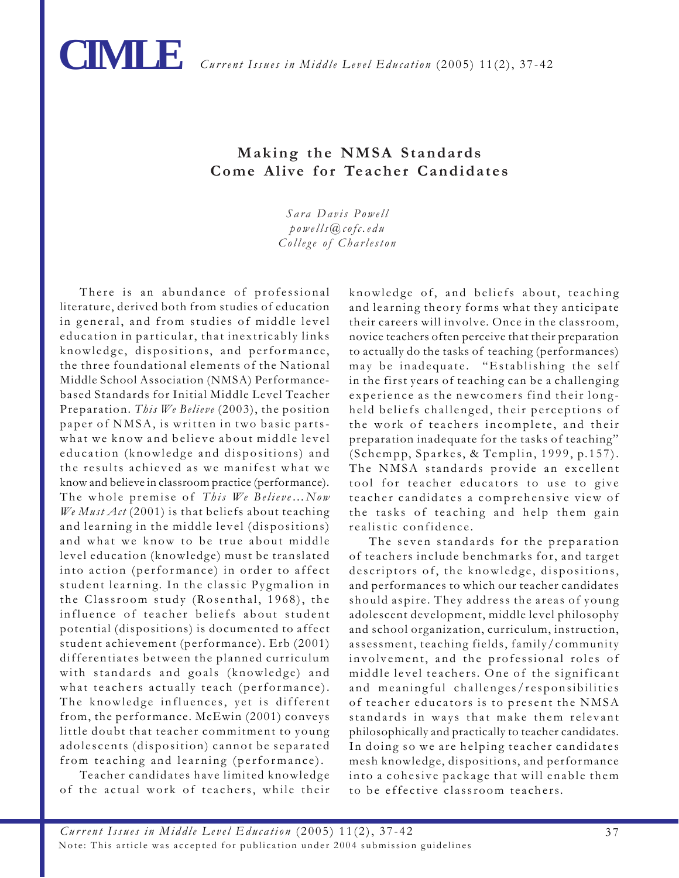

# **Making the NMSA Standards Come Alive for Teacher Candidates**

*Sara Davis Powell powells@cofc.edu College of Charleston*

There is an abundance of professional literature, derived both from studies of education in general, and from studies of middle level education in particular, that inextricably links knowledge, dispositions, and performance, the three foundational elements of the National Middle School Association (NMSA) Performancebased Standards for Initial Middle Level Teacher Preparation. *This We Believe* (2003), the position paper of NMSA, is written in two basic partswhat we know and believe about middle level education (knowledge and dispositions) and the results achieved as we manifest what we know and believe in classroom practice (performance). The whole premise of *This We Believe…Now We Must Act* (2001) is that beliefs about teaching and learning in the middle level (dispositions) and what we know to be true about middle level education (knowledge) must be translated into action (performance) in order to affect student learning. In the classic Pygmalion in the Classroom study (Rosenthal, 1968), the influence of teacher beliefs about student potential (dispositions) is documented to affect student achievement (performance). Erb (2001) differentiates between the planned curriculum with standards and goals (knowledge) and what teachers actually teach (performance). The knowledge influences, yet is different from, the performance. McEwin (2001) conveys little doubt that teacher commitment to young adolescents (disposition) cannot be separated from teaching and learning (performance).

Teacher candidates have limited knowledge of the actual work of teachers, while their knowledge of, and beliefs about, teaching and learning theory forms what they anticipate their careers will involve. Once in the classroom, novice teachers often perceive that their preparation to actually do the tasks of teaching (performances) may be inadequate. "Establishing the self in the first years of teaching can be a challenging experience as the newcomers find their longheld beliefs challenged, their perceptions of the work of teachers incomplete, and their preparation inadequate for the tasks of teaching" (Schempp, Sparkes, & Templin, 1999, p.157). The NMSA standards provide an excellent tool for teacher educators to use to give teacher candidates a comprehensive view of the tasks of teaching and help them gain realistic confidence.

The seven standards for the preparation of teachers include benchmarks for, and target descriptors of, the knowledge, dispositions, and performances to which our teacher candidates should aspire. They address the areas of young adolescent development, middle level philosophy and school organization, curriculum, instruction, assessment, teaching fields, family/community involvement, and the professional roles of middle level teachers. One of the significant and meaningful challenges/responsibilities of teacher educators is to present the NMSA standards in ways that make them relevant philosophically and practically to teacher candidates. In doing so we are helping teacher candidates mesh knowledge, dispositions, and performance into a cohesive package that will enable them to be effective classroom teachers.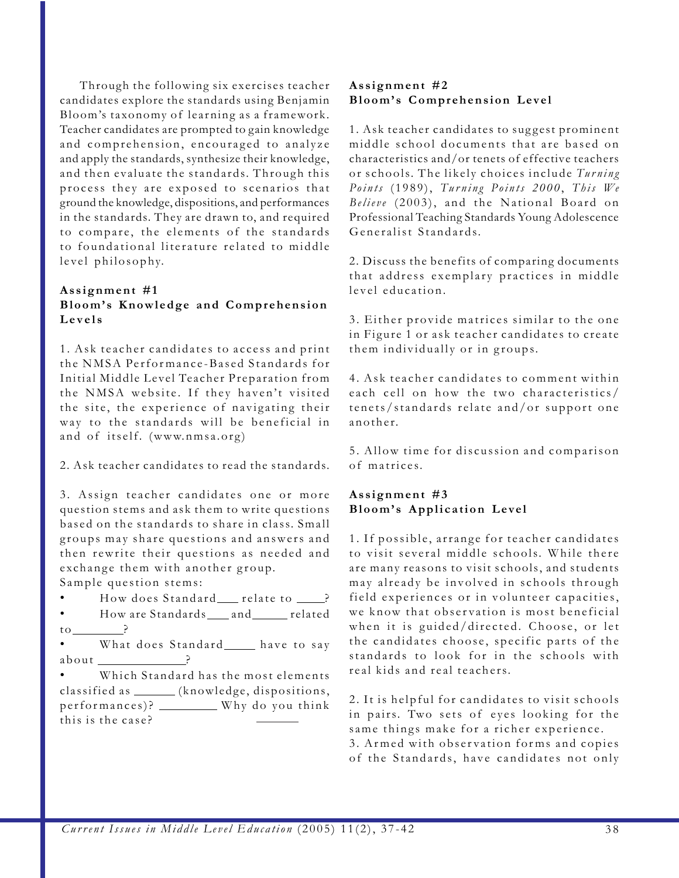Through the following six exercises teacher candidates explore the standards using Benjamin Bloom's taxonomy of learning as a framework. Teacher candidates are prompted to gain knowledge and comprehension, encouraged to analyze and apply the standards, synthesize their knowledge, and then evaluate the standards. Through this process they are exposed to scenarios that ground the knowledge, dispositions, and performances in the standards. They are drawn to, and required to compare, the elements of the standards to foundational literature related to middle level philosophy.

#### **Assignment #1 Bloom's Knowledge and Comprehension Levels**

1. Ask teacher candidates to access and print the NMSA Performance-Based Standards for Initial Middle Level Teacher Preparation from the NMSA website. If they haven't visited the site, the experience of navigating their way to the standards will be beneficial in and of itself. (www.nmsa.org)

2. Ask teacher candidates to read the standards.

3. Assign teacher candidates one or more question stems and ask them to write questions based on the standards to share in class. Small groups may share questions and answers and then rewrite their questions as needed and exchange them with another group.

Sample question stems:

- How does Standard \_\_ relate to \_\_\_?
- How are Standards and related to  $P$

What does Standard have to say about ?

Which Standard has the most elements classified as \_\_\_\_\_(knowledge, dispositions,  $performances$ )? Why do you think this is the case?

### **Assignment #2 Bloom's Comprehension Level**

1. Ask teacher candidates to suggest prominent middle school documents that are based on characteristics and/or tenets of effective teachers or schools. The likely choices include *Turning Points* (1989), *Turning Points 2000* , *This We Believe* (2003), and the National Board on Professional Teaching Standards Young Adolescence Generalist Standards.

2. Discuss the benefits of comparing documents that address exemplary practices in middle level education.

3. Either provide matrices similar to the one in Figure 1 or ask teacher candidates to create them individually or in groups.

4. Ask teacher candidates to comment within each cell on how the two characteristics/ tenets/standards relate and/or support one another.

5. Allow time for discussion and comparison of matrices.

#### **Assignment #3 Bloom's Application Level**

1. If possible, arrange for teacher candidates to visit several middle schools. While there are many reasons to visit schools, and students may already be involved in schools through field experiences or in volunteer capacities, we know that observation is most beneficial when it is guided/directed. Choose, or let the candidates choose, specific parts of the standards to look for in the schools with real kids and real teachers.

2. It is helpful for candidates to visit schools in pairs. Two sets of eyes looking for the same things make for a richer experience. 3. Armed with observation forms and copies of the Standards, have candidates not only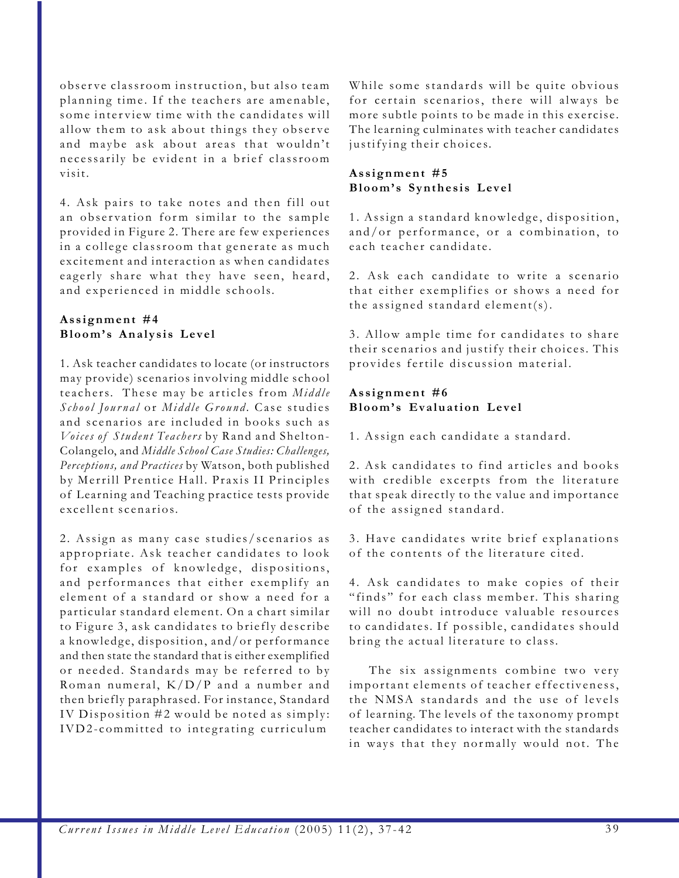observe classroom instruction, but also team planning time. If the teachers are amenable, some interview time with the candidates will allow them to ask about things they observe and maybe ask about areas that wouldn't necessarily be evident in a brief classroom visit.

4. Ask pairs to take notes and then fill out an observation form similar to the sample provided in Figure 2. There are few experiences in a college classroom that generate as much excitement and interaction as when candidates eagerly share what they have seen, heard, and experienced in middle schools.

#### **Assignment #4 Bloom's Analysis Level**

1. Ask teacher candidates to locate (or instructors may provide) scenarios involving middle school teachers. These may be articles from *Middle School Journal* or *Middle Ground*. Case studies and scenarios are included in books such as *Voices of Student Teachers* by Rand and Shelton-Colangelo, and *Middle School Case Studies: Challenges, Perceptions, and Practices* by Watson, both published by Merrill Prentice Hall. Praxis II Principles of Learning and Teaching practice tests provide excellent scenarios.

2. Assign as many case studies/scenarios as appropriate. Ask teacher candidates to look for examples of knowledge, dispositions, and performances that either exemplify an element of a standard or show a need for a particular standard element. On a chart similar to Figure 3, ask candidates to briefly describe a knowledge, disposition, and/or performance and then state the standard that is either exemplified or needed. Standards may be referred to by Roman numeral, K/D/P and a number and then briefly paraphrased. For instance, Standard IV Disposition #2 would be noted as simply: IVD2-committed to integrating curriculum

While some standards will be quite obvious for certain scenarios, there will always be more subtle points to be made in this exercise. The learning culminates with teacher candidates justifying their choices.

#### **Assignment #5 Bloom's Synthesis Level**

1. Assign a standard knowledge, disposition, and/or performance, or a combination, to each teacher candidate.

2. Ask each candidate to write a scenario that either exemplifies or shows a need for the assigned standard element(s).

3. Allow ample time for candidates to share their scenarios and justify their choices. This provides fertile discussion material.

#### **Assignment #6 Bloom's Evaluation Level**

1. Assign each candidate a standard.

2. Ask candidates to find articles and books with credible excerpts from the literature that speak directly to the value and importance of the assigned standard.

3. Have candidates write brief explanations of the contents of the literature cited.

4. Ask candidates to make copies of their "finds" for each class member. This sharing will no doubt introduce valuable resources to candidates. If possible, candidates should bring the actual literature to class.

The six assignments combine two very important elements of teacher effectiveness, the NMSA standards and the use of levels of learning. The levels of the taxonomy prompt teacher candidates to interact with the standards in ways that they normally would not. The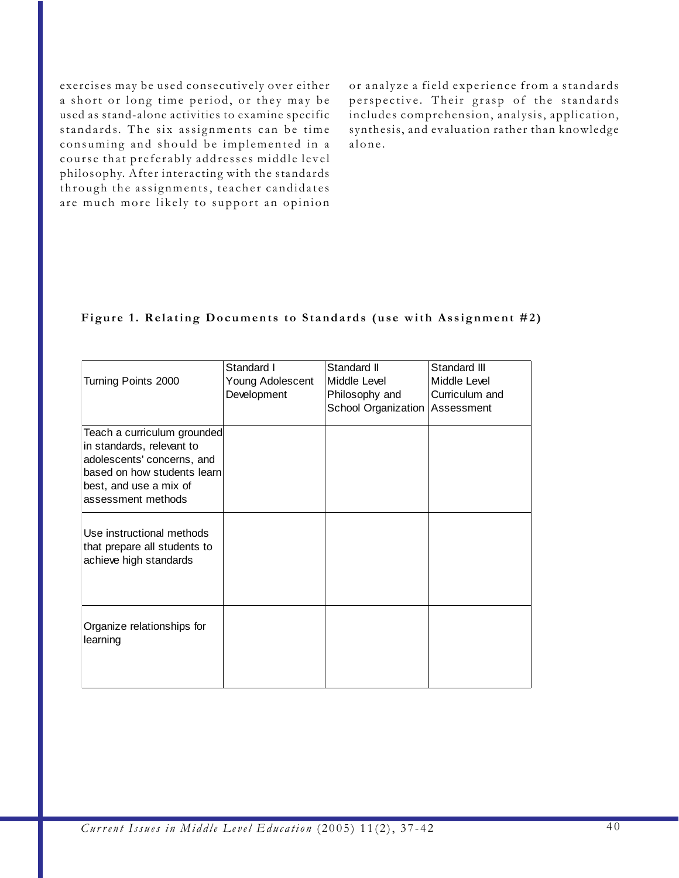exercises may be used consecutively over either a short or long time period, or they may be used as stand-alone activities to examine specific standards. The six assignments can be time consuming and should be implemented in a course that preferably addresses middle level philosophy. After interacting with the standards through the assignments, teacher candidates are much more likely to support an opinion

or analyze a field experience from a standards perspective. Their grasp of the standards includes comprehension, analysis, application, synthesis, and evaluation rather than knowledge alone.

#### **Figure 1. Relating Documents to Standards (use with Assignment #2)**

| Turning Points 2000                                                                                                                                                   | Standard I<br>Young Adolescent<br>Development | Standard II<br>Middle Level<br>Philosophy and<br>School Organization Assessment | Standard III<br>Middle Level<br>Curriculum and |
|-----------------------------------------------------------------------------------------------------------------------------------------------------------------------|-----------------------------------------------|---------------------------------------------------------------------------------|------------------------------------------------|
| Teach a curriculum grounded<br>in standards, relevant to<br>adolescents' concerns, and<br>based on how students learn<br>best, and use a mix of<br>assessment methods |                                               |                                                                                 |                                                |
| Use instructional methods<br>that prepare all students to<br>achieve high standards                                                                                   |                                               |                                                                                 |                                                |
| Organize relationships for<br>learning                                                                                                                                |                                               |                                                                                 |                                                |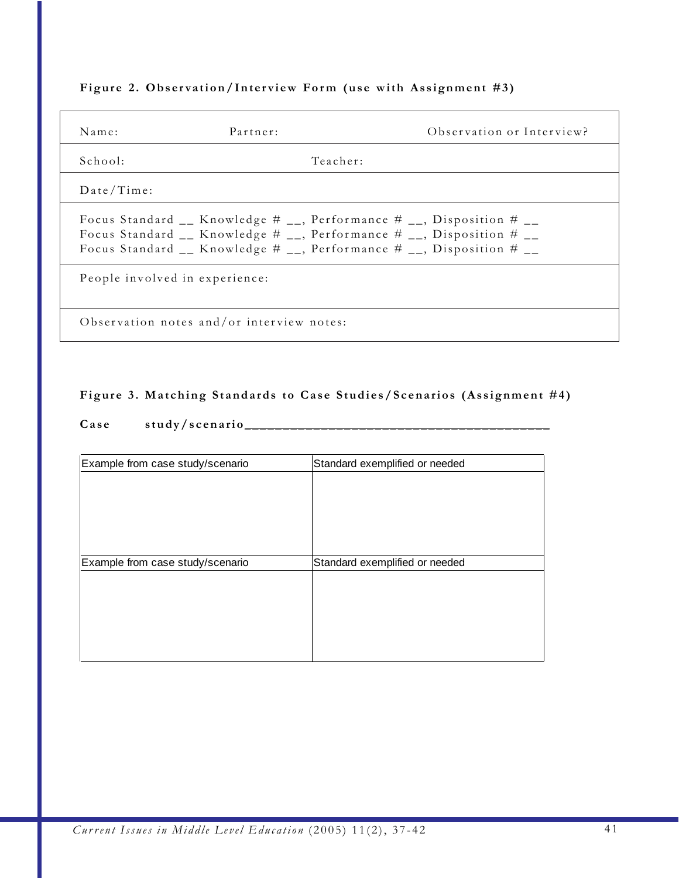# **Figure 2. Observation/Interview Form (use with Assignment #3)**

| Name:                          | Partner:                                  | Observation or Interview?                                                                                                                                                                                                                                                                                                                  |
|--------------------------------|-------------------------------------------|--------------------------------------------------------------------------------------------------------------------------------------------------------------------------------------------------------------------------------------------------------------------------------------------------------------------------------------------|
| School:                        |                                           | Teacher:                                                                                                                                                                                                                                                                                                                                   |
| Date/Time:                     |                                           |                                                                                                                                                                                                                                                                                                                                            |
|                                |                                           | Focus Standard $\mathcal{L}$ Knowledge # $\mathcal{L}$ , Performance # $\mathcal{L}$ , Disposition # $\mathcal{L}$<br>Focus Standard $\mathcal{L}$ Knowledge # $\mathcal{L}$ , Performance # $\mathcal{L}$ , Disposition # $\mathcal{L}$<br>Focus Standard $\angle$ Knowledge # $\angle$ , Performance # $\angle$ , Disposition # $\angle$ |
| People involved in experience: |                                           |                                                                                                                                                                                                                                                                                                                                            |
|                                | Observation notes and/or interview notes: |                                                                                                                                                                                                                                                                                                                                            |

# **Figure 3. Matching Standards to Case Studies/Scenarios (Assignment #4)**

#### **Case study/scenario\_\_\_\_\_\_\_\_\_\_\_\_\_\_\_\_\_\_\_\_\_\_\_\_\_\_\_\_\_\_\_\_\_\_\_\_\_\_\_\_**

| Example from case study/scenario | Standard exemplified or needed |
|----------------------------------|--------------------------------|
|                                  |                                |
|                                  |                                |
|                                  |                                |
|                                  |                                |
|                                  |                                |
|                                  |                                |
| Example from case study/scenario | Standard exemplified or needed |
|                                  |                                |
|                                  |                                |
|                                  |                                |
|                                  |                                |
|                                  |                                |